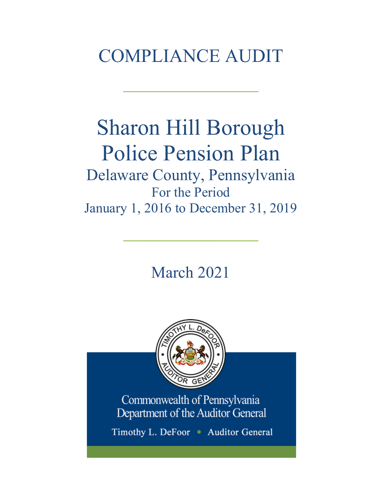## COMPLIANCE AUDIT

 $\frac{1}{2}$ 

# Sharon Hill Borough Police Pension Plan

Delaware County, Pennsylvania For the Period January 1, 2016 to December 31, 2019

 $\frac{1}{2}$ 

March 2021



Commonwealth of Pennsylvania Department of the Auditor General

Timothy L. DeFoor • Auditor General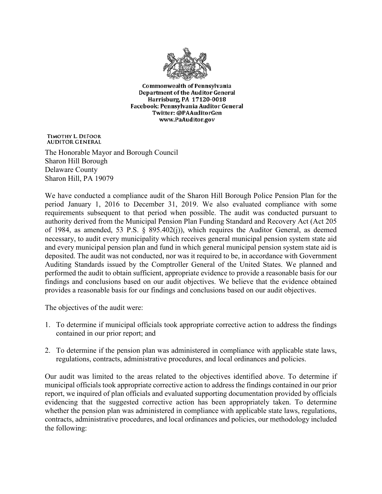

**Commonwealth of Pennsylvania** Department of the Auditor General Harrisburg, PA 17120-0018 Facebook: Pennsylvania Auditor General Twitter: @PAAuditorGen www.PaAuditor.gov

TIMOTHY L. DEFOOR **AUDITOR GENERAL** 

The Honorable Mayor and Borough Council Sharon Hill Borough Delaware County Sharon Hill, PA 19079

We have conducted a compliance audit of the Sharon Hill Borough Police Pension Plan for the period January 1, 2016 to December 31, 2019. We also evaluated compliance with some requirements subsequent to that period when possible. The audit was conducted pursuant to authority derived from the Municipal Pension Plan Funding Standard and Recovery Act (Act 205 of 1984, as amended, 53 P.S. § 895.402(j)), which requires the Auditor General, as deemed necessary, to audit every municipality which receives general municipal pension system state aid and every municipal pension plan and fund in which general municipal pension system state aid is deposited. The audit was not conducted, nor was it required to be, in accordance with Government Auditing Standards issued by the Comptroller General of the United States. We planned and performed the audit to obtain sufficient, appropriate evidence to provide a reasonable basis for our findings and conclusions based on our audit objectives. We believe that the evidence obtained provides a reasonable basis for our findings and conclusions based on our audit objectives.

The objectives of the audit were:

- 1. To determine if municipal officials took appropriate corrective action to address the findings contained in our prior report; and
- 2. To determine if the pension plan was administered in compliance with applicable state laws, regulations, contracts, administrative procedures, and local ordinances and policies.

Our audit was limited to the areas related to the objectives identified above. To determine if municipal officials took appropriate corrective action to address the findings contained in our prior report, we inquired of plan officials and evaluated supporting documentation provided by officials evidencing that the suggested corrective action has been appropriately taken. To determine whether the pension plan was administered in compliance with applicable state laws, regulations, contracts, administrative procedures, and local ordinances and policies, our methodology included the following: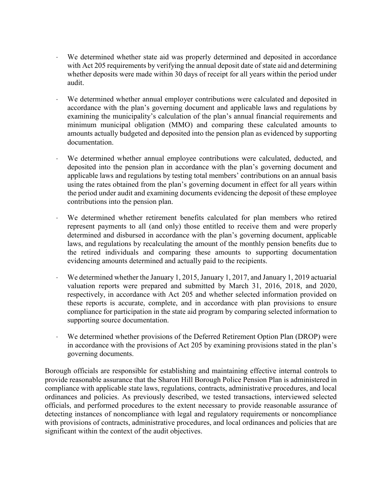- ⋅ We determined whether state aid was properly determined and deposited in accordance with Act 205 requirements by verifying the annual deposit date of state aid and determining whether deposits were made within 30 days of receipt for all years within the period under audit.
- We determined whether annual employer contributions were calculated and deposited in accordance with the plan's governing document and applicable laws and regulations by examining the municipality's calculation of the plan's annual financial requirements and minimum municipal obligation (MMO) and comparing these calculated amounts to amounts actually budgeted and deposited into the pension plan as evidenced by supporting documentation.
- We determined whether annual employee contributions were calculated, deducted, and deposited into the pension plan in accordance with the plan's governing document and applicable laws and regulations by testing total members' contributions on an annual basis using the rates obtained from the plan's governing document in effect for all years within the period under audit and examining documents evidencing the deposit of these employee contributions into the pension plan.
- We determined whether retirement benefits calculated for plan members who retired represent payments to all (and only) those entitled to receive them and were properly determined and disbursed in accordance with the plan's governing document, applicable laws, and regulations by recalculating the amount of the monthly pension benefits due to the retired individuals and comparing these amounts to supporting documentation evidencing amounts determined and actually paid to the recipients.
- We determined whether the January 1, 2015, January 1, 2017, and January 1, 2019 actuarial valuation reports were prepared and submitted by March 31, 2016, 2018, and 2020, respectively, in accordance with Act 205 and whether selected information provided on these reports is accurate, complete, and in accordance with plan provisions to ensure compliance for participation in the state aid program by comparing selected information to supporting source documentation.
- We determined whether provisions of the Deferred Retirement Option Plan (DROP) were in accordance with the provisions of Act 205 by examining provisions stated in the plan's governing documents.

Borough officials are responsible for establishing and maintaining effective internal controls to provide reasonable assurance that the Sharon Hill Borough Police Pension Plan is administered in compliance with applicable state laws, regulations, contracts, administrative procedures, and local ordinances and policies. As previously described, we tested transactions, interviewed selected officials, and performed procedures to the extent necessary to provide reasonable assurance of detecting instances of noncompliance with legal and regulatory requirements or noncompliance with provisions of contracts, administrative procedures, and local ordinances and policies that are significant within the context of the audit objectives.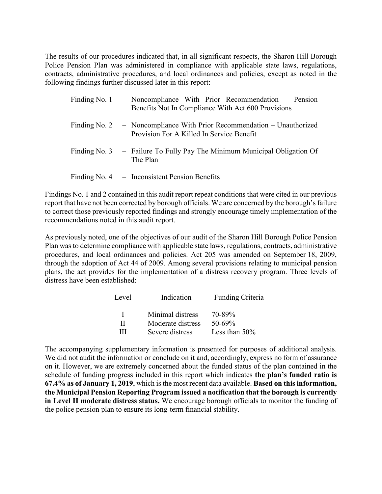The results of our procedures indicated that, in all significant respects, the Sharon Hill Borough Police Pension Plan was administered in compliance with applicable state laws, regulations, contracts, administrative procedures, and local ordinances and policies, except as noted in the following findings further discussed later in this report:

| Finding No. 1 – Noncompliance With Prior Recommendation – Pension<br>Benefits Not In Compliance With Act 600 Provisions |
|-------------------------------------------------------------------------------------------------------------------------|
| Finding No. 2 - Noncompliance With Prior Recommendation - Unauthorized<br>Provision For A Killed In Service Benefit     |
| Finding No. 3 – Failure To Fully Pay The Minimum Municipal Obligation Of<br>The Plan                                    |
| Finding No. $4$ – Inconsistent Pension Benefits                                                                         |

Findings No. 1 and 2 contained in this audit report repeat conditions that were cited in our previous report that have not been corrected by borough officials. We are concerned by the borough's failure to correct those previously reported findings and strongly encourage timely implementation of the recommendations noted in this audit report.

As previously noted, one of the objectives of our audit of the Sharon Hill Borough Police Pension Plan was to determine compliance with applicable state laws, regulations, contracts, administrative procedures, and local ordinances and policies. Act 205 was amended on September 18, 2009, through the adoption of Act 44 of 2009. Among several provisions relating to municipal pension plans, the act provides for the implementation of a distress recovery program. Three levels of distress have been established:

| Level | Indication        | Funding Criteria |
|-------|-------------------|------------------|
| л.    | Minimal distress  | 70-89%           |
| Н     | Moderate distress | $50 - 69\%$      |
| ш     | Severe distress   | Less than 50%    |

The accompanying supplementary information is presented for purposes of additional analysis. We did not audit the information or conclude on it and, accordingly, express no form of assurance on it. However, we are extremely concerned about the funded status of the plan contained in the schedule of funding progress included in this report which indicates **the plan's funded ratio is 67.4% as of January 1, 2019**, which is the most recent data available. **Based on this information, the Municipal Pension Reporting Program issued a notification that the borough is currently in Level II moderate distress status.** We encourage borough officials to monitor the funding of the police pension plan to ensure its long-term financial stability.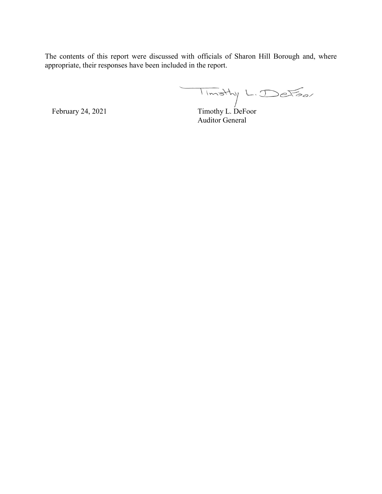The contents of this report were discussed with officials of Sharon Hill Borough and, where appropriate, their responses have been included in the report.

February 24, 2021 Timothy L. DeFoor Auditor General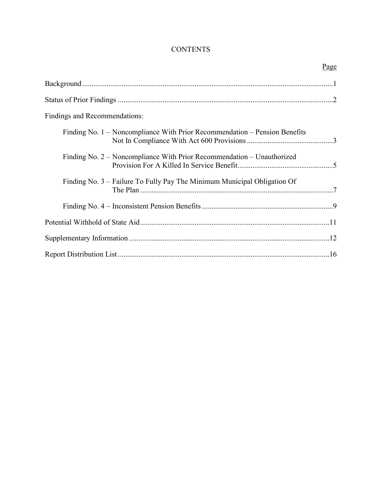## **CONTENTS**

| Page                                                                       |
|----------------------------------------------------------------------------|
|                                                                            |
|                                                                            |
| Findings and Recommendations:                                              |
| Finding No. 1 – Noncompliance With Prior Recommendation – Pension Benefits |
| Finding No. 2 – Noncompliance With Prior Recommendation – Unauthorized     |
| Finding No. 3 – Failure To Fully Pay The Minimum Municipal Obligation Of   |
|                                                                            |
|                                                                            |
|                                                                            |
|                                                                            |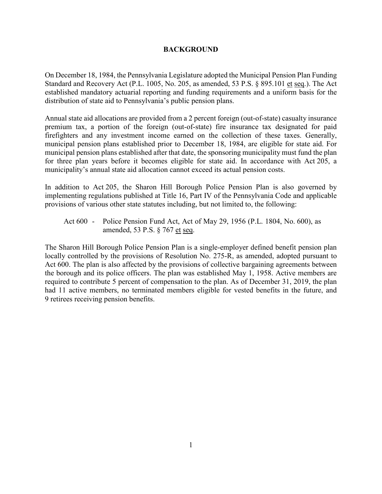#### **BACKGROUND**

On December 18, 1984, the Pennsylvania Legislature adopted the Municipal Pension Plan Funding Standard and Recovery Act (P.L. 1005, No. 205, as amended, 53 P.S. § 895.101 et seq.). The Act established mandatory actuarial reporting and funding requirements and a uniform basis for the distribution of state aid to Pennsylvania's public pension plans.

Annual state aid allocations are provided from a 2 percent foreign (out-of-state) casualty insurance premium tax, a portion of the foreign (out-of-state) fire insurance tax designated for paid firefighters and any investment income earned on the collection of these taxes. Generally, municipal pension plans established prior to December 18, 1984, are eligible for state aid. For municipal pension plans established after that date, the sponsoring municipality must fund the plan for three plan years before it becomes eligible for state aid. In accordance with Act 205, a municipality's annual state aid allocation cannot exceed its actual pension costs.

In addition to Act 205, the Sharon Hill Borough Police Pension Plan is also governed by implementing regulations published at Title 16, Part IV of the Pennsylvania Code and applicable provisions of various other state statutes including, but not limited to, the following:

Act 600 - Police Pension Fund Act, Act of May 29, 1956 (P.L. 1804, No. 600), as amended, 53 P.S. § 767 et seq.

The Sharon Hill Borough Police Pension Plan is a single-employer defined benefit pension plan locally controlled by the provisions of Resolution No. 275-R, as amended, adopted pursuant to Act 600. The plan is also affected by the provisions of collective bargaining agreements between the borough and its police officers. The plan was established May 1, 1958. Active members are required to contribute 5 percent of compensation to the plan. As of December 31, 2019, the plan had 11 active members, no terminated members eligible for vested benefits in the future, and 9 retirees receiving pension benefits.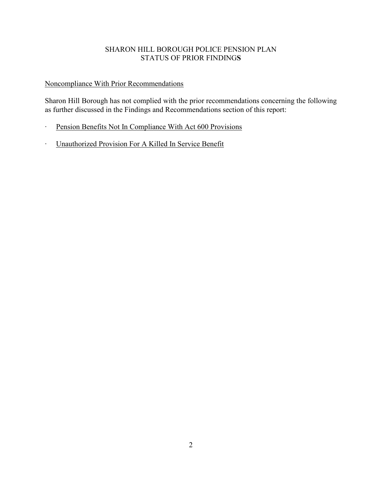#### SHARON HILL BOROUGH POLICE PENSION PLAN STATUS OF PRIOR FINDING**S**

## Noncompliance With Prior Recommendations

Sharon Hill Borough has not complied with the prior recommendations concerning the following as further discussed in the Findings and Recommendations section of this report:

- ∙ Pension Benefits Not In Compliance With Act 600 Provisions
- ∙ Unauthorized Provision For A Killed In Service Benefit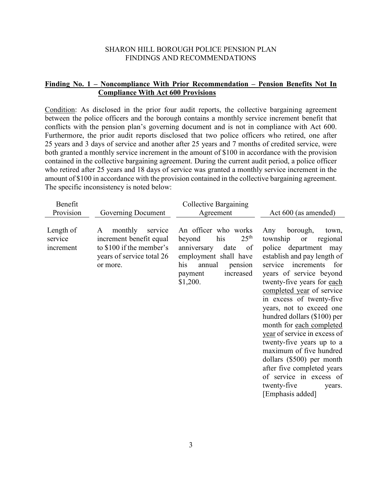#### **Finding No. 1 – Noncompliance With Prior Recommendation – Pension Benefits Not In Compliance With Act 600 Provisions**

Condition: As disclosed in the prior four audit reports, the collective bargaining agreement between the police officers and the borough contains a monthly service increment benefit that conflicts with the pension plan's governing document and is not in compliance with Act 600. Furthermore, the prior audit reports disclosed that two police officers who retired, one after 25 years and 3 days of service and another after 25 years and 7 months of credited service, were both granted a monthly service increment in the amount of \$100 in accordance with the provision contained in the collective bargaining agreement. During the current audit period, a police officer who retired after 25 years and 18 days of service was granted a monthly service increment in the amount of \$100 in accordance with the provision contained in the collective bargaining agreement. The specific inconsistency is noted below:

| Benefit                           |                                                                                                                         | Collective Bargaining                                                                                                                                                           |                                                                                                                                                                                                                                                                                                                                                                                                                                                                                                                                                                                                |
|-----------------------------------|-------------------------------------------------------------------------------------------------------------------------|---------------------------------------------------------------------------------------------------------------------------------------------------------------------------------|------------------------------------------------------------------------------------------------------------------------------------------------------------------------------------------------------------------------------------------------------------------------------------------------------------------------------------------------------------------------------------------------------------------------------------------------------------------------------------------------------------------------------------------------------------------------------------------------|
| Provision                         | Governing Document                                                                                                      | Agreement                                                                                                                                                                       | Act 600 (as amended)                                                                                                                                                                                                                                                                                                                                                                                                                                                                                                                                                                           |
| Length of<br>service<br>increment | monthly<br>service<br>A<br>increment benefit equal<br>to \$100 if the member's<br>years of service total 26<br>or more. | An officer who works<br>25 <sup>th</sup><br>his<br>beyond<br>anniversary<br>date<br>of<br>employment shall have<br>his<br>annual<br>pension<br>increased<br>payment<br>\$1,200. | borough,<br>Any<br>town,<br>township<br>regional<br><b>or</b><br>police department<br>may<br>establish and pay length of<br>increments<br>for<br>service<br>years of service beyond<br>twenty-five years for each<br>completed year of service<br>in excess of twenty-five<br>years, not to exceed one<br>hundred dollars (\$100) per<br>month for each completed<br>year of service in excess of<br>twenty-five years up to a<br>maximum of five hundred<br>dollars $(\$500)$ per month<br>after five completed years<br>of service in excess of<br>twenty-five<br>years.<br>[Emphasis added] |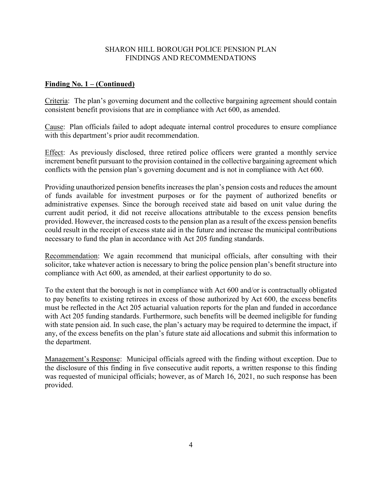#### **Finding No. 1 – (Continued)**

Criteria: The plan's governing document and the collective bargaining agreement should contain consistent benefit provisions that are in compliance with Act 600, as amended.

Cause: Plan officials failed to adopt adequate internal control procedures to ensure compliance with this department's prior audit recommendation.

Effect: As previously disclosed, three retired police officers were granted a monthly service increment benefit pursuant to the provision contained in the collective bargaining agreement which conflicts with the pension plan's governing document and is not in compliance with Act 600.

Providing unauthorized pension benefits increases the plan's pension costs and reduces the amount of funds available for investment purposes or for the payment of authorized benefits or administrative expenses. Since the borough received state aid based on unit value during the current audit period, it did not receive allocations attributable to the excess pension benefits provided. However, the increased costs to the pension plan as a result of the excess pension benefits could result in the receipt of excess state aid in the future and increase the municipal contributions necessary to fund the plan in accordance with Act 205 funding standards.

Recommendation: We again recommend that municipal officials, after consulting with their solicitor, take whatever action is necessary to bring the police pension plan's benefit structure into compliance with Act 600, as amended, at their earliest opportunity to do so.

To the extent that the borough is not in compliance with Act 600 and/or is contractually obligated to pay benefits to existing retirees in excess of those authorized by Act 600, the excess benefits must be reflected in the Act 205 actuarial valuation reports for the plan and funded in accordance with Act 205 funding standards. Furthermore, such benefits will be deemed ineligible for funding with state pension aid. In such case, the plan's actuary may be required to determine the impact, if any, of the excess benefits on the plan's future state aid allocations and submit this information to the department.

Management's Response: Municipal officials agreed with the finding without exception. Due to the disclosure of this finding in five consecutive audit reports, a written response to this finding was requested of municipal officials; however, as of March 16, 2021, no such response has been provided.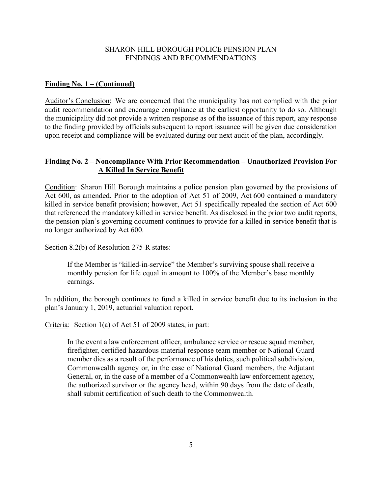#### **Finding No. 1 – (Continued)**

Auditor's Conclusion: We are concerned that the municipality has not complied with the prior audit recommendation and encourage compliance at the earliest opportunity to do so. Although the municipality did not provide a written response as of the issuance of this report, any response to the finding provided by officials subsequent to report issuance will be given due consideration upon receipt and compliance will be evaluated during our next audit of the plan, accordingly.

#### **Finding No. 2 – Noncompliance With Prior Recommendation – Unauthorized Provision For A Killed In Service Benefit**

Condition: Sharon Hill Borough maintains a police pension plan governed by the provisions of Act 600, as amended. Prior to the adoption of Act 51 of 2009, Act 600 contained a mandatory killed in service benefit provision; however, Act 51 specifically repealed the section of Act 600 that referenced the mandatory killed in service benefit. As disclosed in the prior two audit reports, the pension plan's governing document continues to provide for a killed in service benefit that is no longer authorized by Act 600.

Section 8.2(b) of Resolution 275-R states:

If the Member is "killed-in-service" the Member's surviving spouse shall receive a monthly pension for life equal in amount to 100% of the Member's base monthly earnings.

In addition, the borough continues to fund a killed in service benefit due to its inclusion in the plan's January 1, 2019, actuarial valuation report.

Criteria: Section 1(a) of Act 51 of 2009 states, in part:

In the event a law enforcement officer, ambulance service or rescue squad member, firefighter, certified hazardous material response team member or National Guard member dies as a result of the performance of his duties, such political subdivision, Commonwealth agency or, in the case of National Guard members, the Adjutant General, or, in the case of a member of a Commonwealth law enforcement agency, the authorized survivor or the agency head, within 90 days from the date of death, shall submit certification of such death to the Commonwealth.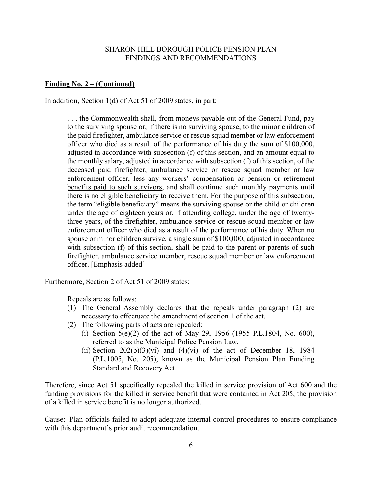#### **Finding No. 2 – (Continued)**

In addition, Section 1(d) of Act 51 of 2009 states, in part:

. . . the Commonwealth shall, from moneys payable out of the General Fund, pay to the surviving spouse or, if there is no surviving spouse, to the minor children of the paid firefighter, ambulance service or rescue squad member or law enforcement officer who died as a result of the performance of his duty the sum of \$100,000, adjusted in accordance with subsection (f) of this section, and an amount equal to the monthly salary, adjusted in accordance with subsection (f) of this section, of the deceased paid firefighter, ambulance service or rescue squad member or law enforcement officer, less any workers' compensation or pension or retirement benefits paid to such survivors, and shall continue such monthly payments until there is no eligible beneficiary to receive them. For the purpose of this subsection, the term "eligible beneficiary" means the surviving spouse or the child or children under the age of eighteen years or, if attending college, under the age of twentythree years, of the firefighter, ambulance service or rescue squad member or law enforcement officer who died as a result of the performance of his duty. When no spouse or minor children survive, a single sum of \$100,000, adjusted in accordance with subsection (f) of this section, shall be paid to the parent or parents of such firefighter, ambulance service member, rescue squad member or law enforcement officer. [Emphasis added]

Furthermore, Section 2 of Act 51 of 2009 states:

Repeals are as follows:

- (1) The General Assembly declares that the repeals under paragraph (2) are necessary to effectuate the amendment of section 1 of the act.
- (2) The following parts of acts are repealed:
	- (i) Section 5(e)(2) of the act of May 29, 1956 (1955 P.L.1804, No. 600), referred to as the Municipal Police Pension Law.
	- (ii) Section  $202(b)(3)(vi)$  and  $(4)(vi)$  of the act of December 18, 1984 (P.L.1005, No. 205), known as the Municipal Pension Plan Funding Standard and Recovery Act.

Therefore, since Act 51 specifically repealed the killed in service provision of Act 600 and the funding provisions for the killed in service benefit that were contained in Act 205, the provision of a killed in service benefit is no longer authorized.

Cause: Plan officials failed to adopt adequate internal control procedures to ensure compliance with this department's prior audit recommendation.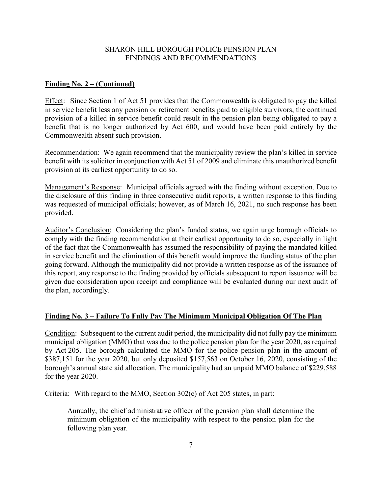#### **Finding No. 2 – (Continued)**

Effect: Since Section 1 of Act 51 provides that the Commonwealth is obligated to pay the killed in service benefit less any pension or retirement benefits paid to eligible survivors, the continued provision of a killed in service benefit could result in the pension plan being obligated to pay a benefit that is no longer authorized by Act 600, and would have been paid entirely by the Commonwealth absent such provision.

Recommendation: We again recommend that the municipality review the plan's killed in service benefit with its solicitor in conjunction with Act 51 of 2009 and eliminate this unauthorized benefit provision at its earliest opportunity to do so.

Management's Response: Municipal officials agreed with the finding without exception. Due to the disclosure of this finding in three consecutive audit reports, a written response to this finding was requested of municipal officials; however, as of March 16, 2021, no such response has been provided.

Auditor's Conclusion: Considering the plan's funded status, we again urge borough officials to comply with the finding recommendation at their earliest opportunity to do so, especially in light of the fact that the Commonwealth has assumed the responsibility of paying the mandated killed in service benefit and the elimination of this benefit would improve the funding status of the plan going forward. Although the municipality did not provide a written response as of the issuance of this report, any response to the finding provided by officials subsequent to report issuance will be given due consideration upon receipt and compliance will be evaluated during our next audit of the plan, accordingly.

#### **Finding No. 3 – Failure To Fully Pay The Minimum Municipal Obligation Of The Plan**

Condition: Subsequent to the current audit period, the municipality did not fully pay the minimum municipal obligation (MMO) that was due to the police pension plan for the year 2020, as required by Act 205. The borough calculated the MMO for the police pension plan in the amount of \$387,151 for the year 2020, but only deposited \$157,563 on October 16, 2020, consisting of the borough's annual state aid allocation. The municipality had an unpaid MMO balance of \$229,588 for the year 2020.

Criteria: With regard to the MMO, Section 302(c) of Act 205 states, in part:

Annually, the chief administrative officer of the pension plan shall determine the minimum obligation of the municipality with respect to the pension plan for the following plan year.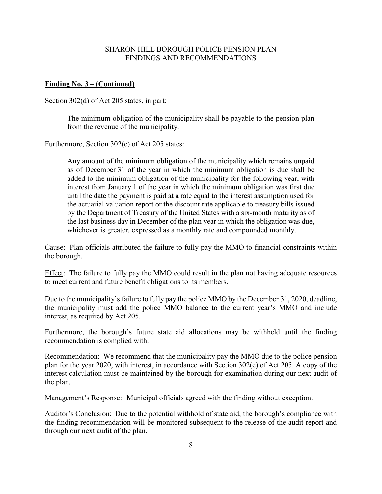#### **Finding No. 3 – (Continued)**

Section 302(d) of Act 205 states, in part:

The minimum obligation of the municipality shall be payable to the pension plan from the revenue of the municipality.

Furthermore, Section 302(e) of Act 205 states:

Any amount of the minimum obligation of the municipality which remains unpaid as of December 31 of the year in which the minimum obligation is due shall be added to the minimum obligation of the municipality for the following year, with interest from January 1 of the year in which the minimum obligation was first due until the date the payment is paid at a rate equal to the interest assumption used for the actuarial valuation report or the discount rate applicable to treasury bills issued by the Department of Treasury of the United States with a six-month maturity as of the last business day in December of the plan year in which the obligation was due, whichever is greater, expressed as a monthly rate and compounded monthly.

Cause: Plan officials attributed the failure to fully pay the MMO to financial constraints within the borough.

Effect: The failure to fully pay the MMO could result in the plan not having adequate resources to meet current and future benefit obligations to its members.

Due to the municipality's failure to fully pay the police MMO by the December 31, 2020, deadline, the municipality must add the police MMO balance to the current year's MMO and include interest, as required by Act 205.

Furthermore, the borough's future state aid allocations may be withheld until the finding recommendation is complied with.

Recommendation: We recommend that the municipality pay the MMO due to the police pension plan for the year 2020, with interest, in accordance with Section 302(e) of Act 205. A copy of the interest calculation must be maintained by the borough for examination during our next audit of the plan.

Management's Response: Municipal officials agreed with the finding without exception.

Auditor's Conclusion: Due to the potential withhold of state aid, the borough's compliance with the finding recommendation will be monitored subsequent to the release of the audit report and through our next audit of the plan.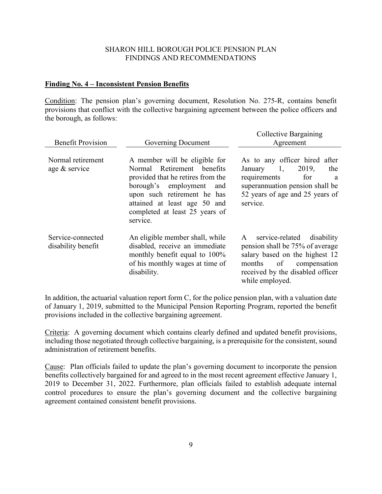#### **Finding No. 4 – Inconsistent Pension Benefits**

Condition: The pension plan's governing document, Resolution No. 275-R, contains benefit provisions that conflict with the collective bargaining agreement between the police officers and the borough, as follows:

| <b>Benefit Provision</b>                | Governing Document                                                                                                                                                                                                                           | <b>Collective Bargaining</b><br>Agreement                                                                                                                                                |  |
|-----------------------------------------|----------------------------------------------------------------------------------------------------------------------------------------------------------------------------------------------------------------------------------------------|------------------------------------------------------------------------------------------------------------------------------------------------------------------------------------------|--|
| Normal retirement<br>age & service      | A member will be eligible for<br>Normal Retirement benefits<br>provided that he retires from the<br>borough's employment<br>and<br>upon such retirement he has<br>attained at least age 50 and<br>completed at least 25 years of<br>service. | As to any officer hired after<br>1,<br>2019,<br>January<br>the<br>requirements<br>for<br>a<br>superannuation pension shall be<br>52 years of age and 25 years of<br>service.             |  |
| Service-connected<br>disability benefit | An eligible member shall, while<br>disabled, receive an immediate<br>monthly benefit equal to 100%<br>of his monthly wages at time of<br>disability.                                                                                         | A service-related<br>disability<br>pension shall be 75% of average<br>salary based on the highest 12<br>of compensation<br>months<br>received by the disabled officer<br>while employed. |  |

In addition, the actuarial valuation report form C, for the police pension plan, with a valuation date of January 1, 2019, submitted to the Municipal Pension Reporting Program, reported the benefit provisions included in the collective bargaining agreement.

Criteria: A governing document which contains clearly defined and updated benefit provisions, including those negotiated through collective bargaining, is a prerequisite for the consistent, sound administration of retirement benefits.

Cause: Plan officials failed to update the plan's governing document to incorporate the pension benefits collectively bargained for and agreed to in the most recent agreement effective January 1, 2019 to December 31, 2022. Furthermore, plan officials failed to establish adequate internal control procedures to ensure the plan's governing document and the collective bargaining agreement contained consistent benefit provisions.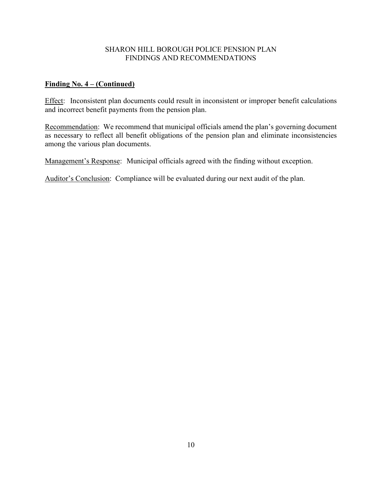#### **Finding No. 4 – (Continued)**

Effect: Inconsistent plan documents could result in inconsistent or improper benefit calculations and incorrect benefit payments from the pension plan.

Recommendation: We recommend that municipal officials amend the plan's governing document as necessary to reflect all benefit obligations of the pension plan and eliminate inconsistencies among the various plan documents.

Management's Response: Municipal officials agreed with the finding without exception.

Auditor's Conclusion: Compliance will be evaluated during our next audit of the plan.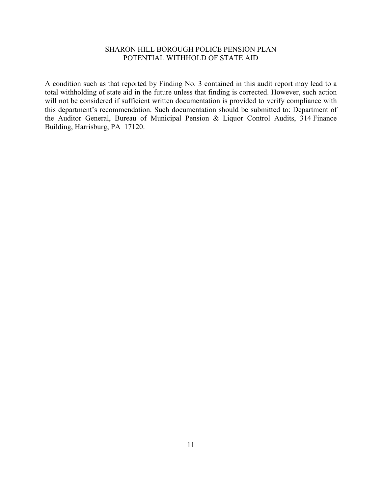#### SHARON HILL BOROUGH POLICE PENSION PLAN POTENTIAL WITHHOLD OF STATE AID

A condition such as that reported by Finding No. 3 contained in this audit report may lead to a total withholding of state aid in the future unless that finding is corrected. However, such action will not be considered if sufficient written documentation is provided to verify compliance with this department's recommendation. Such documentation should be submitted to: Department of the Auditor General, Bureau of Municipal Pension & Liquor Control Audits, 314 Finance Building, Harrisburg, PA 17120.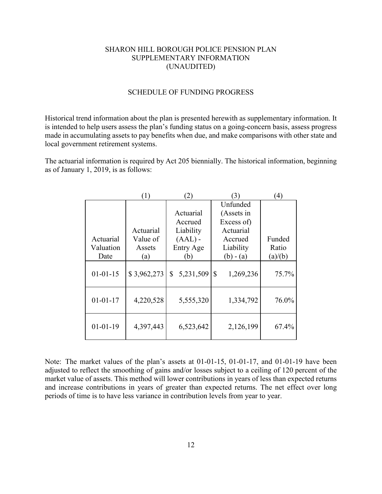#### SHARON HILL BOROUGH POLICE PENSION PLAN SUPPLEMENTARY INFORMATION (UNAUDITED)

#### SCHEDULE OF FUNDING PROGRESS

Historical trend information about the plan is presented herewith as supplementary information. It is intended to help users assess the plan's funding status on a going-concern basis, assess progress made in accumulating assets to pay benefits when due, and make comparisons with other state and local government retirement systems.

The actuarial information is required by Act 205 biennially. The historical information, beginning as of January 1, 2019, is as follows:

|                | $\left(1\right)$ | $\left 2\right\rangle$ | (3)             | $\left(4\right)$ |
|----------------|------------------|------------------------|-----------------|------------------|
|                |                  |                        | Unfunded        |                  |
|                |                  | Actuarial              | (Assets in      |                  |
|                |                  | Accrued                | Excess of)      |                  |
|                | Actuarial        | Liability              | Actuarial       |                  |
| Actuarial      | Value of         | $(AAL)$ -              | Accrued         | Funded           |
| Valuation      | Assets           | Entry Age              | Liability       | Ratio            |
| Date           | (a)              | (b)                    | $(b) - (a)$     | (a)/(b)          |
| $01 - 01 - 15$ | \$3,962,273      | 5,231,509<br>\$        | \$<br>1,269,236 | 75.7%            |
| $01 - 01 - 17$ | 4,220,528        | 5,555,320              | 1,334,792       | 76.0%            |
| $01 - 01 - 19$ | 4,397,443        | 6,523,642              | 2,126,199       | 67.4%            |

Note: The market values of the plan's assets at 01-01-15, 01-01-17, and 01-01-19 have been adjusted to reflect the smoothing of gains and/or losses subject to a ceiling of 120 percent of the market value of assets. This method will lower contributions in years of less than expected returns and increase contributions in years of greater than expected returns. The net effect over long periods of time is to have less variance in contribution levels from year to year.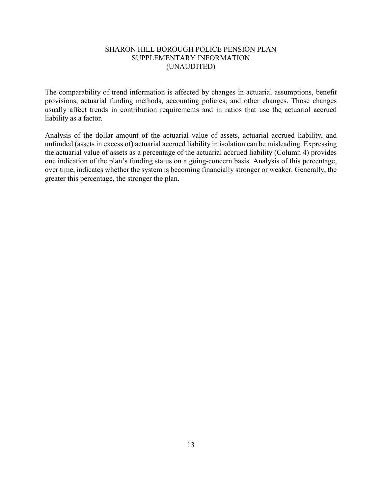#### SHARON HILL BOROUGH POLICE PENSION PLAN SUPPLEMENTARY INFORMATION (UNAUDITED)

The comparability of trend information is affected by changes in actuarial assumptions, benefit provisions, actuarial funding methods, accounting policies, and other changes. Those changes usually affect trends in contribution requirements and in ratios that use the actuarial accrued liability as a factor.

Analysis of the dollar amount of the actuarial value of assets, actuarial accrued liability, and unfunded (assets in excess of) actuarial accrued liability in isolation can be misleading. Expressing the actuarial value of assets as a percentage of the actuarial accrued liability (Column 4) provides one indication of the plan's funding status on a going-concern basis. Analysis of this percentage, over time, indicates whether the system is becoming financially stronger or weaker. Generally, the greater this percentage, the stronger the plan.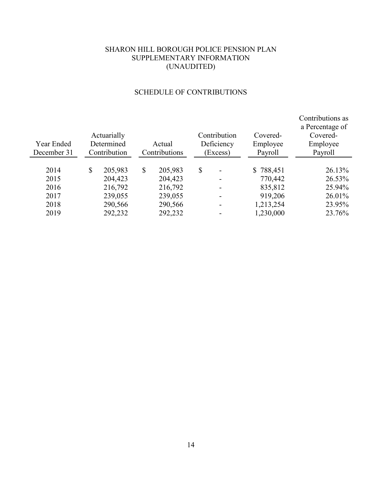## SHARON HILL BOROUGH POLICE PENSION PLAN SUPPLEMENTARY INFORMATION (UNAUDITED)

## SCHEDULE OF CONTRIBUTIONS

| Year Ended<br>December 31 | Actuarially<br>Determined<br>Contribution | Actual<br>Contributions | Contribution<br>Deficiency<br>Excess) | Covered-<br>Employee<br>Payroll | Contributions as<br>a Percentage of<br>Covered-<br>Employee<br>Payroll |
|---------------------------|-------------------------------------------|-------------------------|---------------------------------------|---------------------------------|------------------------------------------------------------------------|
|                           |                                           |                         |                                       |                                 |                                                                        |
| 2014                      | \$<br>205,983                             | \$<br>205,983           | \$                                    | \$788,451                       | 26.13%                                                                 |
| 2015                      | 204,423                                   | 204,423                 | ۰                                     | 770,442                         | 26.53%                                                                 |
| 2016                      | 216,792                                   | 216,792                 | -                                     | 835,812                         | 25.94%                                                                 |
| 2017                      | 239,055                                   | 239,055                 | -                                     | 919,206                         | 26.01%                                                                 |
| 2018                      | 290,566                                   | 290,566                 | ۰                                     | 1,213,254                       | 23.95%                                                                 |
| 2019                      | 292,232                                   | 292,232                 |                                       | 1,230,000                       | 23.76%                                                                 |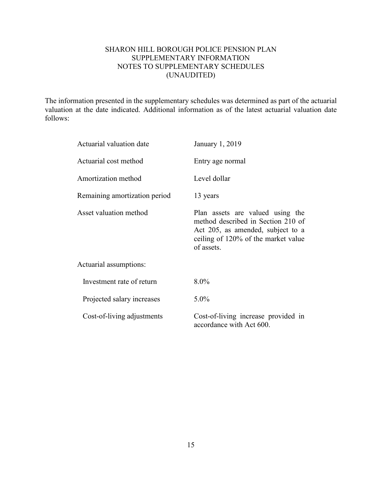### SHARON HILL BOROUGH POLICE PENSION PLAN SUPPLEMENTARY INFORMATION NOTES TO SUPPLEMENTARY SCHEDULES (UNAUDITED)

The information presented in the supplementary schedules was determined as part of the actuarial valuation at the date indicated. Additional information as of the latest actuarial valuation date follows:

| Actuarial valuation date      | January 1, 2019                                                                                                                                                  |
|-------------------------------|------------------------------------------------------------------------------------------------------------------------------------------------------------------|
| Actuarial cost method         | Entry age normal                                                                                                                                                 |
| Amortization method           | Level dollar                                                                                                                                                     |
| Remaining amortization period | 13 years                                                                                                                                                         |
| Asset valuation method        | Plan assets are valued using the<br>method described in Section 210 of<br>Act 205, as amended, subject to a<br>ceiling of 120% of the market value<br>of assets. |
| Actuarial assumptions:        |                                                                                                                                                                  |
| Investment rate of return     | $8.0\%$                                                                                                                                                          |
| Projected salary increases    | $5.0\%$                                                                                                                                                          |
| Cost-of-living adjustments    | Cost-of-living increase provided in<br>accordance with Act 600.                                                                                                  |